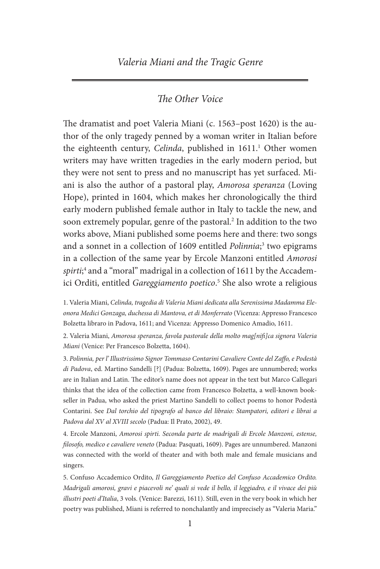#### *The Other Voice*

The dramatist and poet Valeria Miani (c. 1563–post 1620) is the author of the only tragedy penned by a woman writer in Italian before the eighteenth century, *Celinda*, published in 1611.<sup>1</sup> Other women writers may have written tragedies in the early modern period, but they were not sent to press and no manuscript has yet surfaced. Miani is also the author of a pastoral play, *Amorosa speranza* (Loving Hope), printed in 1604, which makes her chronologically the third early modern published female author in Italy to tackle the new, and soon extremely popular, genre of the pastoral.<sup>2</sup> In addition to the two works above, Miani published some poems here and there: two songs and a sonnet in a collection of 1609 entitled *Polinnia*; <sup>3</sup> two epigrams in a collection of the same year by Ercole Manzoni entitled *Amorosi spirti*; <sup>4</sup> and a "moral" madrigal in a collection of 1611 by the Accademici Orditi, entitled *Gareggiamento poetico*. <sup>5</sup> She also wrote a religious

1. Valeria Miani, *Celinda, tragedia di Valeria Miani dedicata alla Serenissima Madamma Eleonora Medici Gonzaga, duchessa di Mantova, et di Monferrato* (Vicenza: Appresso Francesco Bolzetta libraro in Padova, 1611; and Vicenza: Appresso Domenico Amadio, 1611.

2. Valeria Miani, *Amorosa speranza, favola pastorale della molto mag[nifi]ca signora Valeria Miani* (Venice: Per Francesco Bolzetta, 1604).

3. *Polinnia, per l' Illustrissimo Signor Tommaso Contarini Cavaliere Conte del Zaffo, e Podestà di Padova*, ed. Martino Sandelli [?] (Padua: Bolzetta, 1609). Pages are unnumbered; works are in Italian and Latin. The editor's name does not appear in the text but Marco Callegari thinks that the idea of the collection came from Francesco Bolzetta, a well-known bookseller in Padua, who asked the priest Martino Sandelli to collect poems to honor Podestà Contarini. See *Dal torchio del tipografo al banco del libraio: Stampatori, editori e librai a Padova dal XV al XVIII secolo* (Padua: Il Prato, 2002), 49.

4. Ercole Manzoni, *Amorosi spirti. Seconda parte de madrigali di Ercole Manzoni, estense, filosofo, medico e cavaliere veneto* (Padua: Pasquati, 1609). Pages are unnumbered. Manzoni was connected with the world of theater and with both male and female musicians and singers.

5. Confuso Accademico Ordito, *Il Gareggiamento Poetico del Confuso Accademico Ordito. Madrigali amorosi, gravi e piacevoli ne' quali si vede il bello, il leggiadro, e il vivace dei più illustri poeti d'Italia*, 3 vols. (Venice: Barezzi, 1611). Still, even in the very book in which her poetry was published, Miani is referred to nonchalantly and imprecisely as "Valeria Maria."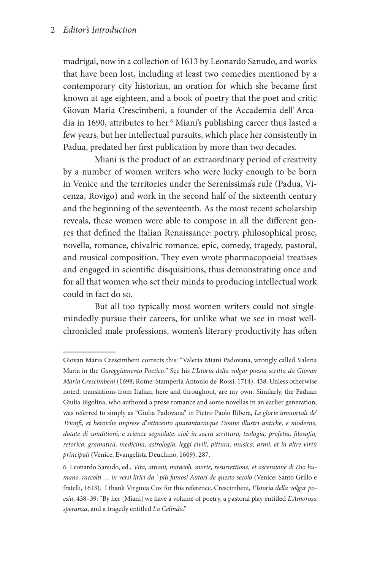#### 2 *Editor's Introduction*

madrigal, now in a collection of 1613 by Leonardo Sanudo, and works that have been lost, including at least two comedies mentioned by a contemporary city historian, an oration for which she became first known at age eighteen, and a book of poetry that the poet and critic Giovan Maria Crescimbeni, a founder of the Accademia dell' Arcadia in 1690, attributes to her.6 Miani's publishing career thus lasted a few years, but her intellectual pursuits, which place her consistently in Padua, predated her first publication by more than two decades.

Miani is the product of an extraordinary period of creativity by a number of women writers who were lucky enough to be born in Venice and the territories under the Serenissima's rule (Padua, Vicenza, Rovigo) and work in the second half of the sixteenth century and the beginning of the seventeenth. As the most recent scholarship reveals, these women were able to compose in all the different genres that defined the Italian Renaissance: poetry, philosophical prose, novella, romance, chivalric romance, epic, comedy, tragedy, pastoral, and musical composition. They even wrote pharmacopoeial treatises and engaged in scientific disquisitions, thus demonstrating once and for all that women who set their minds to producing intellectual work could in fact do so.

But all too typically most women writers could not singlemindedly pursue their careers, for unlike what we see in most wellchronicled male professions, women's literary productivity has often

Giovan Maria Crescimbeni corrects this: "Valeria Miani Padovana, wrongly called Valeria Maria in the *Gareggiamento Poetico.*" See his *L'Istoria della volgar poesia scritta da Giovan Maria Crescimbeni* (1698; Rome: Stamperia Antonio de' Rossi, 1714), 438. Unless otherwise noted, translations from Italian, here and throughout, are my own. Similarly, the Paduan Giulia Bigolina, who authored a prose romance and some novellas in an earlier generation, was referred to simply as "Giulia Padovana" in Pietro Paolo Ribera, *Le glorie immortali de' Trionfi, et heroiche imprese d' ottocento quarantacinque Donne illustri antiche, e moderne, dotate di conditioni, e scienze segnalate: cioè in sacra scrittura, teologia, profetia, filosofia, retorica, gramatica, medicina, astrologia, leggi civili, pittura, musica, armi, et in altre virtù principali* (Venice: Evangelista Deuchino, 1609), 287.

<sup>6.</sup> Leonardo Sanudo, ed., *Vita, attioni, miracoli, morte, resurrettione, et ascensione di Dio hu*mano, raccolti ... in versi lirici da ' più famosi Autori de questo secolo (Venice: Santo Grillo e fratelli, 1613). I thank Virginia Cox for this reference. Crescimbeni, *L'Istoria della volgar poesia*, 438–39: "By her [Miani] we have a volume of poetry, a pastoral play entitled *L' Amorosa speranza*, and a tragedy entitled *La Celinda*."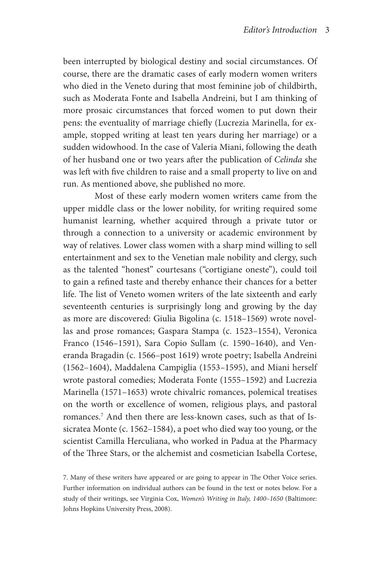been interrupted by biological destiny and social circumstances. Of course, there are the dramatic cases of early modern women writers who died in the Veneto during that most feminine job of childbirth, such as Moderata Fonte and Isabella Andreini, but I am thinking of more prosaic circumstances that forced women to put down their pens: the eventuality of marriage chiefly (Lucrezia Marinella, for example, stopped writing at least ten years during her marriage) or a sudden widowhood. In the case of Valeria Miani, following the death of her husband one or two years after the publication of *Celinda* she was left with five children to raise and a small property to live on and run. As mentioned above, she published no more.

Most of these early modern women writers came from the upper middle class or the lower nobility, for writing required some humanist learning, whether acquired through a private tutor or through a connection to a university or academic environment by way of relatives. Lower class women with a sharp mind willing to sell entertainment and sex to the Venetian male nobility and clergy, such as the talented "honest" courtesans ("cortigiane oneste"), could toil to gain a refined taste and thereby enhance their chances for a better life. The list of Veneto women writers of the late sixteenth and early seventeenth centuries is surprisingly long and growing by the day as more are discovered: Giulia Bigolina (c. 1518–1569) wrote novellas and prose romances; Gaspara Stampa (c. 1523–1554), Veronica Franco (1546–1591), Sara Copio Sullam (c. 1590–1640), and Veneranda Bragadin (c. 1566–post 1619) wrote poetry; Isabella Andreini (1562–1604), Maddalena Campiglia (1553–1595), and Miani herself wrote pastoral comedies; Moderata Fonte (1555–1592) and Lucrezia Marinella (1571–1653) wrote chivalric romances, polemical treatises on the worth or excellence of women, religious plays, and pastoral romances.7 And then there are less-known cases, such as that of Issicratea Monte (c. 1562–1584), a poet who died way too young, or the scientist Camilla Herculiana, who worked in Padua at the Pharmacy of the Three Stars, or the alchemist and cosmetician Isabella Cortese,

<sup>7.</sup> Many of these writers have appeared or are going to appear in The Other Voice series. Further information on individual authors can be found in the text or notes below. For a study of their writings, see Virginia Cox, *Women's Writing in Italy, 1400–1650* (Baltimore: Johns Hopkins University Press, 2008).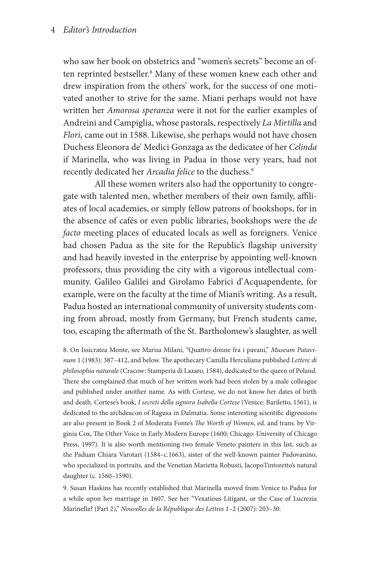#### 4 *Editor's Introduction*

who saw her book on obstetrics and "women's secrets" become an often reprinted bestseller.<sup>8</sup> Many of these women knew each other and drew inspiration from the others' work, for the success of one motivated another to strive for the same. Miani perhaps would not have written her *Amorosa speranza* were it not for the earlier examples of Andreini and Campiglia, whose pastorals, respectively *La Mirtilla* and *Flori*, came out in 1588. Likewise, she perhaps would not have chosen Duchess Eleonora de' Medici Gonzaga as the dedicatee of her *Celinda* if Marinella, who was living in Padua in those very years, had not recently dedicated her *Arcadia felice* to the duchess.<sup>9</sup>

All these women writers also had the opportunity to congregate with talented men, whether members of their own family, affiliates of local academies, or simply fellow patrons of bookshops, for in the absence of cafés or even public libraries, bookshops were the *de facto* meeting places of educated locals as well as foreigners. Venice had chosen Padua as the site for the Republic's flagship university and had heavily invested in the enterprise by appointing well-known professors, thus providing the city with a vigorous intellectual community. Galileo Galilei and Girolamo Fabrici d' Acquapendente, for example, were on the faculty at the time of Miani's writing. As a result, Padua hosted an international community of university students coming from abroad, mostly from Germany, but French students came, too, escaping the aftermath of the St. Bartholomew's slaughter, as well

8. On Issicratea Monte, see Marisa Milani, "Quattro donne fra i pavani," *Museum Patavinum* 1 (1983): 387–412, and below. The apothecary Camilla Herculiana published *Lettere di philosophia naturale* (Cracow: Stamperia di Lazaro, 1584), dedicated to the queen of Poland. There she complained that much of her written work had been stolen by a male colleague and published under another name. As with Cortese, we do not know her dates of birth and death. Cortese's book, *I secreti della signora Isabella Cortese* (Venice: Bariletto, 1561), is dedicated to the archdeacon of Ragusa in Dalmatia. Some interesting scientific digressions are also present in Book 2 of Moderata Fonte's *The Worth of Women*, ed. and trans. by Virginia Cox, The Other Voice in Early Modern Europe (1600; Chicago: University of Chicago Press, 1997). It is also worth mentioning two female Veneto painters in this list, such as the Paduan Chiara Varotari (1584–c.1663), sister of the well-known painter Padovanino, who specialized in portraits, and the Venetian Marietta Robusti, JacopoTintoretto's natural daughter (c. 1560–1590).

9. Susan Haskins has recently established that Marinella moved from Venice to Padua for a while upon her marriage in 1607. See her "Vexatious Litigant, or the Case of Lucrezia Marinella? (Part 2)," *Nouvelles de la République des Lettres* 1–2 (2007): 203–30.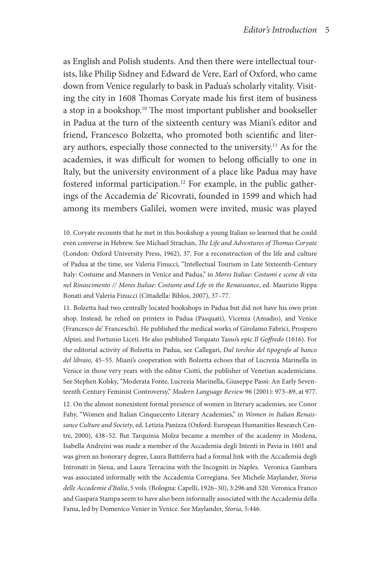as English and Polish students. And then there were intellectual tourists, like Philip Sidney and Edward de Vere, Earl of Oxford, who came down from Venice regularly to bask in Padua's scholarly vitality. Visiting the city in 1608 Thomas Coryate made his first item of business a stop in a bookshop.<sup>10</sup> The most important publisher and bookseller in Padua at the turn of the sixteenth century was Miani's editor and friend, Francesco Bolzetta, who promoted both scientific and literary authors, especially those connected to the university.<sup>11</sup> As for the academies, it was difficult for women to belong officially to one in Italy, but the university environment of a place like Padua may have fostered informal participation.<sup>12</sup> For example, in the public gatherings of the Accademia de' Ricovrati, founded in 1599 and which had among its members Galilei, women were invited, music was played

10. Coryate recounts that he met in this bookshop a young Italian so learned that he could even converse in Hebrew. See Michael Strachan, *The Life and Adventures of Thomas Coryate* (London: Oxford University Press, 1962), 37. For a reconstruction of the life and culture of Padua at the time, see Valeria Finucci, "Intellectual Tourism in Late Sixteenth-Century Italy: Costume and Manners in Venice and Padua," in *Mores Italiae: Costumi e scene di vita nel Rinascimento // Mores Italiae: Costume and Life in the Renaissance*, ed. Maurizio Rippa Bonati and Valeria Finucci (Cittadella: Biblos, 2007), 37–77.

11. Bolzetta had two centrally located bookshops in Padua but did not have his own print shop. Instead, he relied on printers in Padua (Pasquati), Vicenza (Amadio), and Venice (Francesco de' Franceschi). He published the medical works of Girolamo Fabrici, Prospero Alpini, and Fortunio Liceti. He also published Torquato Tasso's epic *Il Goffredo* (1616). For the editorial activity of Bolzetta in Padua, see Callegari, *Dal torchio del tipografo al banco del libraio*, 45–55. Miani's cooperation with Bolzetta echoes that of Lucrezia Marinella in Venice in those very years with the editor Ciotti, the publisher of Venetian academicians. See Stephen Kolsky, "Moderata Fonte, Lucrezia Marinella, Giuseppe Passi: An Early Seventeenth Century Feminist Controversy," *Modern Language Review* 96 (2001): 973–89, at 977.

12. On the almost nonexistent formal presence of women in literary academies, see Conor Fahy, "Women and Italian Cinquecento Literary Academies," in *Women in Italian Renaissance Culture and Society*, ed. Letizia Panizza (Oxford: European Humanities Research Centre, 2000), 438–52. But Tarquinia Molza became a member of the academy in Modena, Isabella Andreini was made a member of the Accademia degli Intenti in Pavia in 1601 and was given an honorary degree, Laura Battiferra had a formal link with the Accademia degli Intronati in Siena, and Laura Terracina with the Incogniti in Naples. Veronica Gambara was associated informally with the Accademia Corregiana. See Michele Maylander, *Storia delle Accademie d'Italia*, 5 vols. (Bologna: Capelli, 1926–30), 3:296 and 320. Veronica Franco and Gaspara Stampa seem to have also been informally associated with the Accademia della Fama, led by Domenico Venier in Venice. See Maylander, *Storia*, 5:446.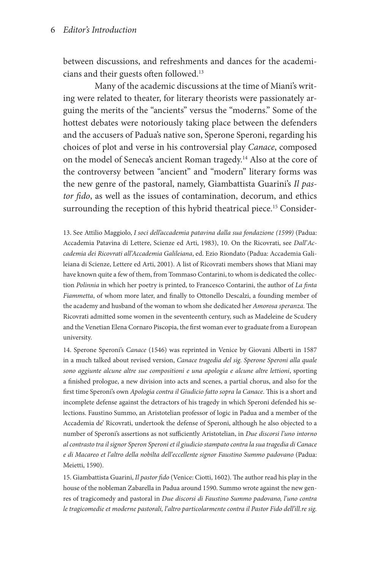between discussions, and refreshments and dances for the academicians and their guests often followed.13

Many of the academic discussions at the time of Miani's writing were related to theater, for literary theorists were passionately arguing the merits of the "ancients" versus the "moderns." Some of the hottest debates were notoriously taking place between the defenders and the accusers of Padua's native son, Sperone Speroni, regarding his choices of plot and verse in his controversial play *Canace*, composed on the model of Seneca's ancient Roman tragedy.14 Also at the core of the controversy between "ancient" and "modern" literary forms was the new genre of the pastoral, namely, Giambattista Guarini's *Il pastor fido*, as well as the issues of contamination, decorum, and ethics surrounding the reception of this hybrid theatrical piece.<sup>15</sup> Consider-

13. See Attilio Maggiolo, *I soci dell' accademia patavina dalla sua fondazione (1599)* (Padua: Accademia Patavina di Lettere, Scienze ed Arti, 1983), 10. On the Ricovrati, see *Dall' Accademia dei Ricovrati all' Accademia Galileiana*, ed. Ezio Riondato (Padua: Accademia Galileiana di Scienze, Lettere ed Arti, 2001). A list of Ricovrati members shows that Miani may have known quite a few of them, from Tommaso Contarini, to whom is dedicated the collection *Polinnia* in which her poetry is printed, to Francesco Contarini, the author of *La finta Fiammetta*, of whom more later, and finally to Ottonello Descalzi, a founding member of the academy and husband of the woman to whom she dedicated her *Amorosa speranza.* The Ricovrati admitted some women in the seventeenth century, such as Madeleine de Scudery and the Venetian Elena Cornaro Piscopia, the first woman ever to graduate from a European university.

14. Sperone Speroni's *Canace* (1546) was reprinted in Venice by Giovani Alberti in 1587 in a much talked about revised version, *Canace tragedia del sig. Sperone Speroni alla quale sono aggiunte alcune altre sue compositioni e una apologia e alcune altre lettioni*, sporting a finished prologue, a new division into acts and scenes, a partial chorus, and also for the first time Speroni's own *Apologia contra il Giudicio fatto sopra la Canace*. This is a short and incomplete defense against the detractors of his tragedy in which Speroni defended his selections. Faustino Summo, an Aristotelian professor of logic in Padua and a member of the Accademia de' Ricovrati, undertook the defense of Speroni, although he also objected to a number of Speroni's assertions as not sufficiently Aristotelian, in *Due discorsi l' uno intorno al contrasto tra il signor Speron Speroni et il giudicio stampato contra la sua tragedia di Canace e di Macareo et l' altro della nobilta dell' eccellente signor Faustino Summo padovano* (Padua: Meietti, 1590).

15. Giambattista Guarini, *Il pastor fido* (Venice: Ciotti, 1602). The author read his play in the house of the nobleman Zabarella in Padua around 1590. Summo wrote against the new genres of tragicomedy and pastoral in *Due discorsi di Faustino Summo padovano, l' uno contra le tragicomedie et moderne pastorali, l' altro particolarmente contra il Pastor Fido dell' ill.re sig.*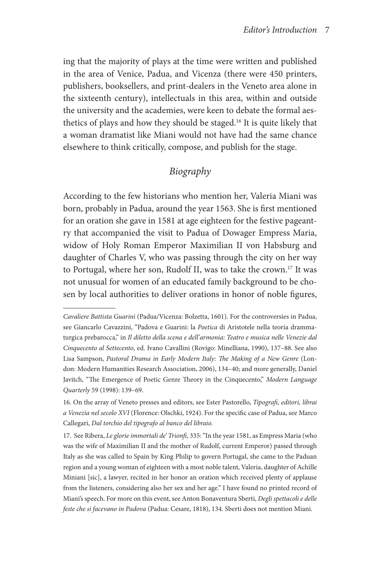ing that the majority of plays at the time were written and published in the area of Venice, Padua, and Vicenza (there were 450 printers, publishers, booksellers, and print-dealers in the Veneto area alone in the sixteenth century), intellectuals in this area, within and outside the university and the academies, were keen to debate the formal aesthetics of plays and how they should be staged.16 It is quite likely that a woman dramatist like Miani would not have had the same chance elsewhere to think critically, compose, and publish for the stage.

#### *Biography*

According to the few historians who mention her, Valeria Miani was born, probably in Padua, around the year 1563. She is first mentioned for an oration she gave in 1581 at age eighteen for the festive pageantry that accompanied the visit to Padua of Dowager Empress Maria, widow of Holy Roman Emperor Maximilian II von Habsburg and daughter of Charles V, who was passing through the city on her way to Portugal, where her son, Rudolf II, was to take the crown.<sup>17</sup> It was not unusual for women of an educated family background to be chosen by local authorities to deliver orations in honor of noble figures,

*Cavaliere Battista Guarini* (Padua/Vicenza: Bolzetta, 1601). For the controversies in Padua, see Giancarlo Cavazzini, "Padova e Guarini: la *Poetica* di Aristotele nella teoria drammaturgica prebarocca," in *Il diletto della scena e dell' armonia: Teatro e musica nelle Venezie dal Cinquecento al Settecento*, ed. Ivano Cavallini (Rovigo: Minelliana, 1990), 137–88. See also Lisa Sampson, *Pastoral Drama in Early Modern Italy: The Making of a New Genre* (London: Modern Humanities Research Association, 2006), 134–40; and more generally, Daniel Javitch, "The Emergence of Poetic Genre Theory in the Cinquecento," *Modern Language Quarterly* 59 (1998): 139–69.

<sup>16.</sup> On the array of Veneto presses and editors, see Ester Pastorello, *Tipografi, editori, librai a Venezia nel secolo XVI* (Florence: Olschki, 1924). For the specific case of Padua, see Marco Callegari, *Dal torchio del tipografo al banco del libraio.*

<sup>17.</sup> See Ribera, *Le glorie immortali de' Trionfi*, 335: "In the year 1581, as Empress Maria (who was the wife of Maximilian II and the mother of Rudolf, current Emperor) passed through Italy as she was called to Spain by King Philip to govern Portugal, she came to the Paduan region and a young woman of eighteen with a most noble talent, Valeria, daughter of Achille Miniani [sic], a lawyer, recited in her honor an oration which received plenty of applause from the listeners, considering also her sex and her age." I have found no printed record of Miani's speech. For more on this event, see Anton Bonaventura Sberti, *Degli spettacoli e delle feste che si facevano in Padova* (Padua: Cesare, 1818), 134. Sberti does not mention Miani.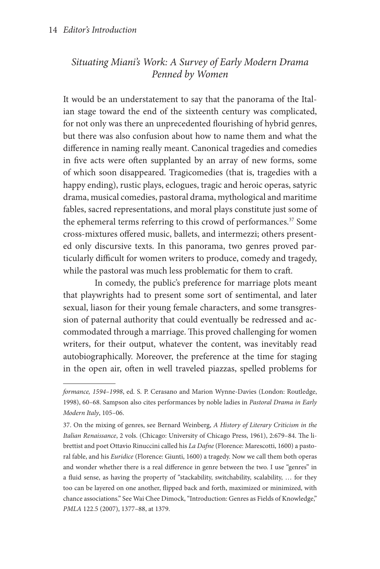## *Situating Miani's Work: A Survey of Early Modern Drama Penned by Women*

It would be an understatement to say that the panorama of the Italian stage toward the end of the sixteenth century was complicated, for not only was there an unprecedented flourishing of hybrid genres, but there was also confusion about how to name them and what the difference in naming really meant. Canonical tragedies and comedies in five acts were often supplanted by an array of new forms, some of which soon disappeared. Tragicomedies (that is, tragedies with a happy ending), rustic plays, eclogues, tragic and heroic operas, satyric drama, musical comedies, pastoral drama, mythological and maritime fables, sacred representations, and moral plays constitute just some of the ephemeral terms referring to this crowd of performances.<sup>37</sup> Some cross-mixtures offered music, ballets, and intermezzi; others presented only discursive texts. In this panorama, two genres proved particularly difficult for women writers to produce, comedy and tragedy, while the pastoral was much less problematic for them to craft.

In comedy, the public's preference for marriage plots meant that playwrights had to present some sort of sentimental, and later sexual, liason for their young female characters, and some transgression of paternal authority that could eventually be redressed and accommodated through a marriage. This proved challenging for women writers, for their output, whatever the content, was inevitably read autobiographically. Moreover, the preference at the time for staging in the open air, often in well traveled piazzas, spelled problems for

*formance, 1594–1998*, ed. S. P. Cerasano and Marion Wynne-Davies (London: Routledge, 1998), 60–68. Sampson also cites performances by noble ladies in *Pastoral Drama in Early Modern Italy*, 105–06.

<sup>37.</sup> On the mixing of genres, see Bernard Weinberg, *A History of Literary Criticism in the Italian Renaissance*, 2 vols. (Chicago: University of Chicago Press, 1961), 2:679–84. The librettist and poet Ottavio Rinuccini called his *La Dafne* (Florence: Marescotti, 1600) a pastoral fable, and his *Euridice* (Florence: Giunti, 1600) a tragedy. Now we call them both operas and wonder whether there is a real difference in genre between the two. I use "genres" in a fluid sense, as having the property of "stackability, switchability, scalability, … for they too can be layered on one another, flipped back and forth, maximized or minimized, with chance associations." See Wai Chee Dimock, "Introduction: Genres as Fields of Knowledge," *PMLA* 122.5 (2007), 1377–88, at 1379.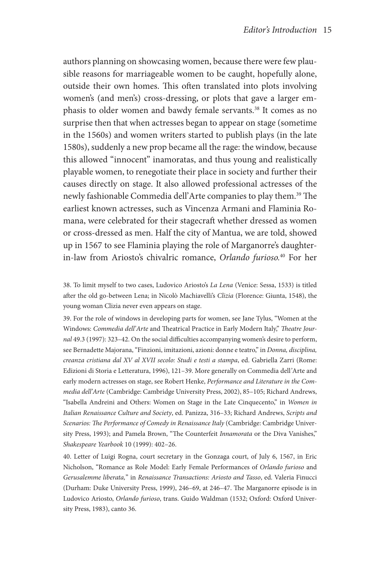authors planning on showcasing women, because there were few plausible reasons for marriageable women to be caught, hopefully alone, outside their own homes. This often translated into plots involving women's (and men's) cross-dressing, or plots that gave a larger emphasis to older women and bawdy female servants.38 It comes as no surprise then that when actresses began to appear on stage (sometime in the 1560s) and women writers started to publish plays (in the late 1580s), suddenly a new prop became all the rage: the window, because this allowed "innocent" inamoratas, and thus young and realistically playable women, to renegotiate their place in society and further their causes directly on stage. It also allowed professional actresses of the newly fashionable Commedia dell'Arte companies to play them.<sup>39</sup> The earliest known actresses, such as Vincenza Armani and Flaminia Romana, were celebrated for their stagecraft whether dressed as women or cross-dressed as men. Half the city of Mantua, we are told, showed up in 1567 to see Flaminia playing the role of Marganorre's daughterin-law from Ariosto's chivalric romance, *Orlando furioso.*<sup>40</sup> For her

38. To limit myself to two cases, Ludovico Ariosto's *La Lena* (Venice: Sessa, 1533) is titled after the old go-between Lena; in Nicolò Machiavelli's *Clizia* (Florence: Giunta, 1548), the young woman Clizia never even appears on stage.

39. For the role of windows in developing parts for women, see Jane Tylus, "Women at the Windows: *Commedia dell' Arte* and Theatrical Practice in Early Modern Italy," *Theatre Journal* 49.3 (1997): 323–42. On the social difficulties accompanying women's desire to perform, see Bernadette Majorana, "Finzioni, imitazioni, azioni: donne e teatro," in *Donna, disciplina, creanza cristiana dal XV al XVII secolo: Studi e testi a stampa*, ed. Gabriella Zarri (Rome: Edizioni di Storia e Letteratura, 1996), 121–39. More generally on Commedia dell*'* Arte and early modern actresses on stage, see Robert Henke, *Performance and Literature in the Commedia dell' Arte* (Cambridge: Cambridge University Press, 2002), 85–105; Richard Andrews, "Isabella Andreini and Others: Women on Stage in the Late Cinquecento," in *Women in Italian Renaissance Culture and Society*, ed. Panizza, 316–33; Richard Andrews, *Scripts and Scenarios: The Performance of Comedy in Renaissance Italy* (Cambridge: Cambridge University Press, 1993); and Pamela Brown, "The Counterfeit *Innamorata* or the Diva Vanishes," *Shakespeare Yearbook* 10 (1999): 402–26.

40. Letter of Luigi Rogna, court secretary in the Gonzaga court, of July 6, 1567, in Eric Nicholson, "Romance as Role Model: Early Female Performances of *Orlando furioso* and *Gerusalemme liberata,*" in *Renaissance Transactions: Ariosto and Tasso*, ed. Valeria Finucci (Durham: Duke University Press, 1999), 246–69, at 246–47. The Marganorre episode is in Ludovico Ariosto, *Orlando furioso*, trans. Guido Waldman (1532; Oxford: Oxford University Press, 1983), canto 36.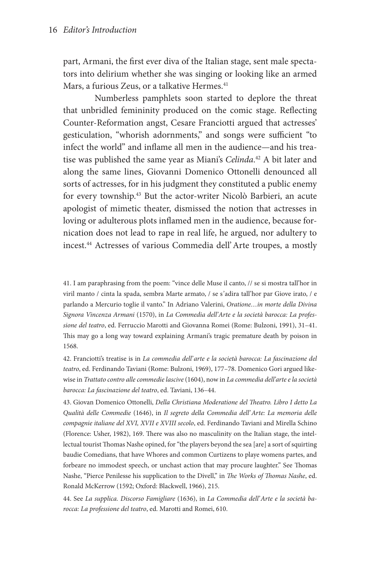part, Armani, the first ever diva of the Italian stage, sent male spectators into delirium whether she was singing or looking like an armed Mars, a furious Zeus, or a talkative Hermes.<sup>41</sup>

Numberless pamphlets soon started to deplore the threat that unbridled femininity produced on the comic stage. Reflecting Counter-Reformation angst, Cesare Franciotti argued that actresses' gesticulation, "whorish adornments," and songs were sufficient "to infect the world" and inflame all men in the audience—and his treatise was published the same year as Miani's *Celinda*. <sup>42</sup> A bit later and along the same lines, Giovanni Domenico Ottonelli denounced all sorts of actresses, for in his judgment they constituted a public enemy for every township.43 But the actor-writer Nicolò Barbieri, an acute apologist of mimetic theater, dismissed the notion that actresses in loving or adulterous plots inflamed men in the audience, because fornication does not lead to rape in real life, he argued, nor adultery to incest.44 Actresses of various Commedia dell' Arte troupes, a mostly

41. I am paraphrasing from the poem: "vince delle Muse il canto, // se si mostra tall'hor in viril manto / cinta la spada, sembra Marte armato, / se s*'* adira tall'hor par Giove irato, / e parlando a Mercurio toglie il vanto." In Adriano Valerini, *Oratione…in morte della Divina Signora Vincenza Armani* (1570), in *La Commedia dell' Arte e la società barocca: La professione del teatro*, ed. Ferruccio Marotti and Giovanna Romei (Rome: Bulzoni, 1991), 31–41. This may go a long way toward explaining Armani's tragic premature death by poison in 1568.

42. Franciotti's treatise is in *La commedia dell' arte e la società barocca: La fascinazione del teatro*, ed. Ferdinando Taviani (Rome: Bulzoni, 1969), 177–78. Domenico Gori argued likewise in *Trattato contro alle commedie lascive* (1604), now in *La commedia dell' arte e la società barocca: La fascinazione del teatro*, ed. Taviani, 136–44.

43. Giovan Domenico Ottonelli, *Della Christiana Moderatione del Theatro. Libro I detto La Qualità delle Commedie* (1646), in *Il segreto della Commedia dell' Arte: La memoria delle compagnie italiane del XVI, XVII e XVIII secolo*, ed. Ferdinando Taviani and Mirella Schino (Florence: Usher, 1982), 169. There was also no masculinity on the Italian stage, the intellectual tourist Thomas Nashe opined, for "the players beyond the sea [are] a sort of squirting baudie Comedians, that have Whores and common Curtizens to playe womens partes, and forbeare no immodest speech, or unchast action that may procure laughter." See Thomas Nashe, "Pierce Penilesse his supplication to the Divell," in *The Works of Thomas Nashe*, ed. Ronald McKerrow (1592; Oxford: Blackwell, 1966), 215.

44. See *La supplica. Discorso Famigliare* (1636), in *La Commedia dell' Arte e la società barocca: La professione del teatro*, ed. Marotti and Romei, 610.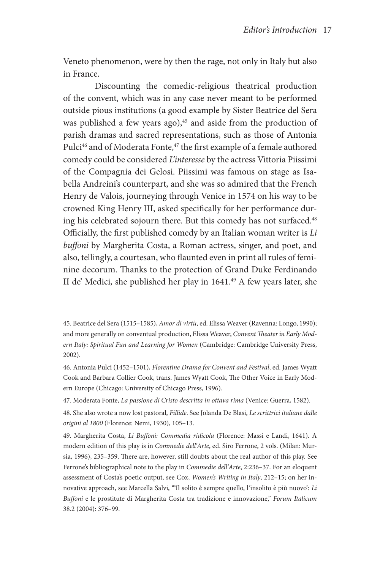Veneto phenomenon, were by then the rage, not only in Italy but also in France.

Discounting the comedic-religious theatrical production of the convent, which was in any case never meant to be performed outside pious institutions (a good example by Sister Beatrice del Sera was published a few years ago),<sup>45</sup> and aside from the production of parish dramas and sacred representations, such as those of Antonia Pulci<sup>46</sup> and of Moderata Fonte,<sup>47</sup> the first example of a female authored comedy could be considered *L'interesse* by the actress Vittoria Piissimi of the Compagnia dei Gelosi. Piissimi was famous on stage as Isabella Andreini's counterpart, and she was so admired that the French Henry de Valois, journeying through Venice in 1574 on his way to be crowned King Henry III, asked specifically for her performance during his celebrated sojourn there. But this comedy has not surfaced.<sup>48</sup> Officially, the first published comedy by an Italian woman writer is *Li buffoni* by Margherita Costa, a Roman actress, singer, and poet, and also, tellingly, a courtesan, who flaunted even in print all rules of feminine decorum. Thanks to the protection of Grand Duke Ferdinando II de' Medici, she published her play in 1641.<sup>49</sup> A few years later, she

46. Antonia Pulci (1452–1501), *Florentine Drama for Convent and Festival*, ed. James Wyatt Cook and Barbara Collier Cook, trans. James Wyatt Cook, The Other Voice in Early Modern Europe (Chicago: University of Chicago Press, 1996).

47. Moderata Fonte, *La passione di Cristo descritta in ottava rima* (Venice: Guerra, 1582).

48. She also wrote a now lost pastoral, *Fillide*. See Jolanda De Blasi, *Le scrittrici italiane dalle origini al 1800* (Florence: Nemi, 1930), 105–13.

49. Margherita Costa, *Li Buffoni: Commedia ridicola* (Florence: Massi e Landi, 1641). A modern edition of this play is in *Commedie dell' Arte*, ed. Siro Ferrone, 2 vols. (Milan: Mursia, 1996), 235–359. There are, however, still doubts about the real author of this play. See Ferrone's bibliographical note to the play in *Commedie dell' Arte*, 2:236–37. For an eloquent assessment of Costa's poetic output, see Cox, *Women's Writing in Italy*, 212–15; on her innovative approach, see Marcella Salvi, "'Il solito è sempre quello, l*'* insolito è più nuovo': *Li Buffoni* e le prostitute di Margherita Costa tra tradizione e innovazione," *Forum Italicum*  38.2 (2004): 376–99.

<sup>45.</sup> Beatrice del Sera (1515–1585), *Amor di virtù*, ed. Elissa Weaver (Ravenna: Longo, 1990); and more generally on conventual production, Elissa Weaver, *Convent Theater in Early Modern Italy: Spiritual Fun and Learning for Women* (Cambridge: Cambridge University Press, 2002).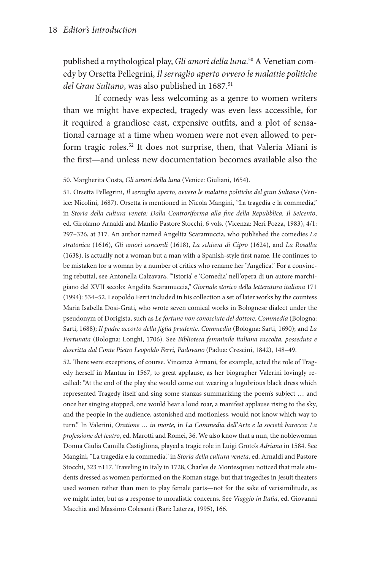published a mythological play, *Gli amori della luna*. <sup>50</sup> A Venetian comedy by Orsetta Pellegrini, *Il serraglio aperto ovvero le malattie politiche*  del Gran Sultano, was also published in 1687.<sup>51</sup>

If comedy was less welcoming as a genre to women writers than we might have expected, tragedy was even less accessible, for it required a grandiose cast, expensive outfits, and a plot of sensational carnage at a time when women were not even allowed to perform tragic roles.52 It does not surprise, then, that Valeria Miani is the first—and unless new documentation becomes available also the

#### 50. Margherita Costa, *Gli amori della luna* (Venice: Giuliani, 1654).

51. Orsetta Pellegrini, *Il serraglio aperto, ovvero le malattie politiche del gran Sultano* (Venice: Nicolini, 1687). Orsetta is mentioned in Nicola Mangini, "La tragedia e la commedia," in *Storia della cultura veneta: Dalla Controriforma alla fine della Repubblica. Il Seicento*, ed. Girolamo Arnaldi and Manlio Pastore Stocchi, 6 vols. (Vicenza: Neri Pozza, 1983), 4/1: 297–326, at 317. An author named Angelita Scaramuccia, who published the comedies *La stratonica* (1616), *Gli amori concordi* (1618), *La schiava di Cipro* (1624), and *La Rosalba* (1638), is actually not a woman but a man with a Spanish-style first name. He continues to be mistaken for a woman by a number of critics who rename her "Angelica." For a convincing rebuttal, see Antonella Calzavara, "'Istoria' e 'Comedia' nell*'* opera di un autore marchigiano del XVII secolo: Angelita Scaramuccia," *Giornale storico della letteratura italiana* 171 (1994): 534–52. Leopoldo Ferri included in his collection a set of later works by the countess Maria Isabella Dosi-Grati, who wrote seven comical works in Bolognese dialect under the pseudonym of Dorigista, such as *Le fortune non conosciute del dottore. Commedia* (Bologna: Sarti, 1688); *Il padre accorto della figlia prudente. Commedia* (Bologna: Sarti, 1690); and *La Fortunata* (Bologna: Longhi, 1706). See *Biblioteca femminile italiana raccolta, posseduta e descritta dal Conte Pietro Leopoldo Ferri, Padovano* (Padua: Crescini, 1842), 148–49.

52. There were exceptions, of course. Vincenza Armani, for example, acted the role of Tragedy herself in Mantua in 1567, to great applause, as her biographer Valerini lovingly recalled: "At the end of the play she would come out wearing a lugubrious black dress which represented Tragedy itself and sing some stanzas summarizing the poem's subject … and once her singing stopped, one would hear a loud roar, a manifest applause rising to the sky, and the people in the audience, astonished and motionless, would not know which way to turn." In Valerini, *Oratione … in morte*, in *La Commedia dell' Arte e la società barocca: La professione del teatro*, ed. Marotti and Romei, 36. We also know that a nun, the noblewoman Donna Giulia Camilla Castigliona, played a tragic role in Luigi Groto's *Adriana* in 1584. See Mangini, "La tragedia e la commedia," in *Storia della cultura veneta*, ed. Arnaldi and Pastore Stocchi, 323 n117. Traveling in Italy in 1728, Charles de Montesquieu noticed that male students dressed as women performed on the Roman stage, but that tragedies in Jesuit theaters used women rather than men to play female parts—not for the sake of verisimilitude, as we might infer, but as a response to moralistic concerns. See *Viaggio in Italia*, ed. Giovanni Macchia and Massimo Colesanti (Bari: Laterza, 1995), 166.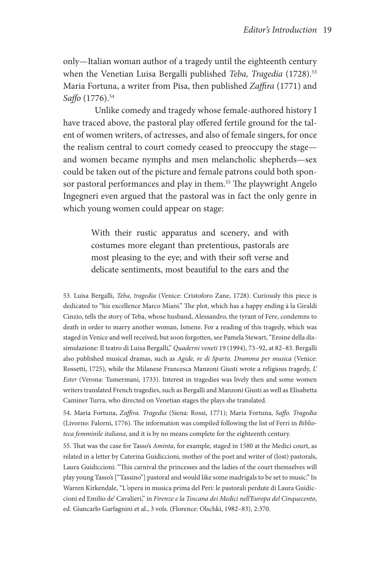only—Italian woman author of a tragedy until the eighteenth century when the Venetian Luisa Bergalli published *Teba*, *Tragedia* (1728).<sup>53</sup> Maria Fortuna, a writer from Pisa, then published *Zaffira* (1771) and *Saffo* (1776).54

Unlike comedy and tragedy whose female-authored history I have traced above, the pastoral play offered fertile ground for the talent of women writers, of actresses, and also of female singers, for once the realism central to court comedy ceased to preoccupy the stage and women became nymphs and men melancholic shepherds—sex could be taken out of the picture and female patrons could both sponsor pastoral performances and play in them.<sup>55</sup> The playwright Angelo Ingegneri even argued that the pastoral was in fact the only genre in which young women could appear on stage:

> With their rustic apparatus and scenery, and with costumes more elegant than pretentious, pastorals are most pleasing to the eye; and with their soft verse and delicate sentiments, most beautiful to the ears and the

53. Luisa Bergalli, *Teba, tragedia* (Venice: Cristoforo Zane, 1728). Curiously this piece is dedicated to "his excellence Marco Miani." The plot, which has a happy ending à la Giraldi Cinzio, tells the story of Teba, whose husband, Alessandro, the tyrant of Fere, condemns to death in order to marry another woman, Ismene. For a reading of this tragedy, which was staged in Venice and well received, but soon forgotten, see Pamela Stewart, "Eroine della dissimulazione: Il teatro di Luisa Bergalli," *Quaderni veneti* 19 (1994), 73–92, at 82–83. Bergalli also published musical dramas, such as *Agide, re di Sparta. Dramma per musica* (Venice: Rossetti, 1725), while the Milanese Francesca Manzoni Giusti wrote a religious tragedy, *L' Ester* (Verona: Tumermani, 1733). Interest in tragedies was lively then and some women writers translated French tragedies, such as Bergalli and Manzoni Giusti as well as Elisabetta Caminer Turra, who directed on Venetian stages the plays she translated.

54. Maria Fortuna, *Zaffira. Tragedia* (Siena: Rossi, 1771); Maria Fortuna, *Saffo. Tragedia*  (Livorno: Falorni, 1776). The information was compiled following the list of Ferri in *Biblioteca femminile italiana*, and it is by no means complete for the eighteenth century.

55. That was the case for Tasso's *Aminta*, for example, staged in 1580 at the Medici court, as related in a letter by Caterina Guidiccioni, mother of the poet and writer of (lost) pastorals, Laura Guidiccioni: "This carnival the princesses and the ladies of the court themselves will play young Tasso's ["Tassino"] pastoral and would like some madrigals to be set to music." In Warren Kirkendale, "L*'* opera in musica prima del Peri: le pastorali perdute di Laura Guidiccioni ed Emilio de' Cavalieri," in *Firenze e la Toscana dei Medici nell' Europa del Cinquecento*, ed. Giancarlo Garfagnini et al., 3 vols. (Florence: Olschki, 1982–83), 2:370.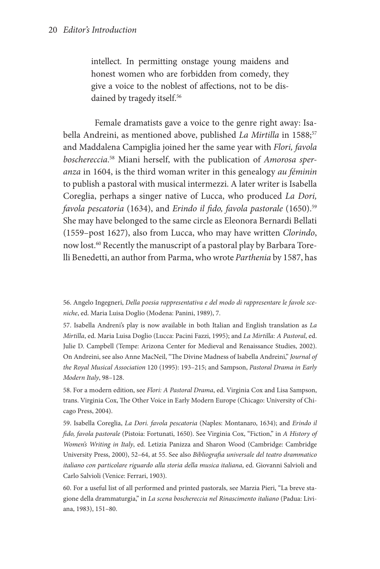intellect. In permitting onstage young maidens and honest women who are forbidden from comedy, they give a voice to the noblest of affections, not to be disdained by tragedy itself.<sup>56</sup>

Female dramatists gave a voice to the genre right away: Isabella Andreini, as mentioned above, published *La Mirtilla* in 1588;<sup>57</sup> and Maddalena Campiglia joined her the same year with *Flori, favola boschereccia*. <sup>58</sup> Miani herself, with the publication of *Amorosa speranza* in 1604, is the third woman writer in this genealogy *au féminin*  to publish a pastoral with musical intermezzi. A later writer is Isabella Coreglia, perhaps a singer native of Lucca, who produced *La Dori, favola pescatoria* (1634), and *Erindo il fido, favola pastorale* (1650).59 She may have belonged to the same circle as Eleonora Bernardi Bellati (1559–post 1627), also from Lucca, who may have written *Clorindo*, now lost.60 Recently the manuscript of a pastoral play by Barbara Torelli Benedetti, an author from Parma, who wrote *Parthenia* by 1587, has

56. Angelo Ingegneri, *Della poesia rappresentativa e del modo di rappresentare le favole sceniche*, ed. Maria Luisa Doglio (Modena: Panini, 1989), 7.

57. Isabella Andreni's play is now available in both Italian and English translation as *La Mirtilla*, ed. Maria Luisa Doglio (Lucca: Pacini Fazzi, 1995); and *La Mirtilla: A Pastoral*, ed. Julie D. Campbell (Tempe: Arizona Center for Medieval and Renaissance Studies, 2002). On Andreini, see also Anne MacNeil, "The Divine Madness of Isabella Andreini," *Journal of the Royal Musical Association* 120 (1995): 193–215; and Sampson, *Pastoral Drama in Early Modern Italy*, 98–128.

58. For a modern edition, see *Flori: A Pastoral Drama*, ed. Virginia Cox and Lisa Sampson, trans. Virginia Cox, The Other Voice in Early Modern Europe (Chicago: University of Chicago Press, 2004).

59. Isabella Coreglia, *La Dori. favola pescatoria* (Naples: Montanaro, 1634); and *Erindo il fido, favola pastorale* (Pistoia: Fortunati, 1650). See Virginia Cox, "Fiction," in *A History of Women's Writing in Italy*, ed. Letizia Panizza and Sharon Wood (Cambridge: Cambridge University Press, 2000), 52–64, at 55. See also *Bibliografia universale del teatro drammatico italiano con particolare riguardo alla storia della musica italiana*, ed. Giovanni Salvioli and Carlo Salvioli (Venice: Ferrari, 1903).

60. For a useful list of all performed and printed pastorals, see Marzia Pieri, "La breve stagione della drammaturgia," in *La scena boschereccia nel Rinascimento italiano* (Padua: Liviana, 1983), 151–80.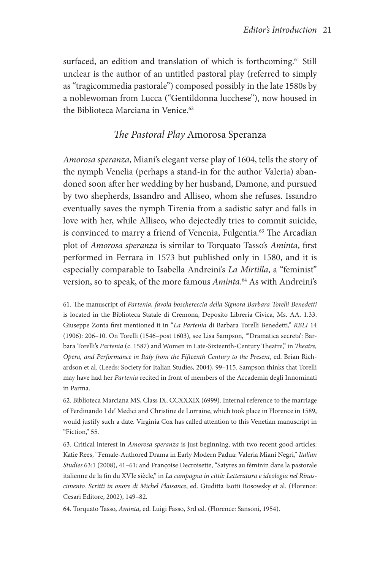surfaced, an edition and translation of which is forthcoming.<sup>61</sup> Still unclear is the author of an untitled pastoral play (referred to simply as "tragicommedia pastorale") composed possibly in the late 1580s by a noblewoman from Lucca ("Gentildonna lucchese"), now housed in the Biblioteca Marciana in Venice.<sup>62</sup>

#### *The Pastoral Play* Amorosa Speranza

*Amorosa speranza*, Miani's elegant verse play of 1604, tells the story of the nymph Venelia (perhaps a stand-in for the author Valeria) abandoned soon after her wedding by her husband, Damone, and pursued by two shepherds, Issandro and Alliseo, whom she refuses. Issandro eventually saves the nymph Tirenia from a sadistic satyr and falls in love with her, while Alliseo, who dejectedly tries to commit suicide, is convinced to marry a friend of Venenia, Fulgentia.<sup>63</sup> The Arcadian plot of *Amorosa speranza* is similar to Torquato Tasso's *Aminta*, first performed in Ferrara in 1573 but published only in 1580, and it is especially comparable to Isabella Andreini's *La Mirtilla*, a "feminist" version, so to speak, of the more famous *Aminta*. <sup>64</sup> As with Andreini's

61. The manuscript of *Partenia, favola boschereccia della Signora Barbara Torelli Benedetti*  is located in the Biblioteca Statale di Cremona, Deposito Libreria Civica, Ms. AA. 1.33. Giuseppe Zonta first mentioned it in "*La Partenia* di Barbara Torelli Benedetti," *RBLI* 14 (1906): 206–10. On Torelli (1546–post 1603), see Lisa Sampson, "'Dramatica secreta': Barbara Torelli's *Partenia* (c. 1587) and Women in Late-Sixteenth-Century Theatre," in *Theatre, Opera, and Performance in Italy from the Fifteenth Century to the Present*, ed. Brian Richardson et al. (Leeds: Society for Italian Studies, 2004), 99–115. Sampson thinks that Torelli may have had her *Partenia* recited in front of members of the Accademia degli Innominati in Parma.

62. Biblioteca Marciana MS, Class IX, CCXXXIX (6999). Internal reference to the marriage of Ferdinando I de' Medici and Christine de Lorraine, which took place in Florence in 1589, would justify such a date. Virginia Cox has called attention to this Venetian manuscript in "Fiction," 55.

63. Critical interest in *Amorosa speranza* is just beginning, with two recent good articles: Katie Rees, "Female-Authored Drama in Early Modern Padua: Valeria Miani Negri," *Italian Studies* 63:1 (2008), 41–61; and Françoise Decroisette, "Satyres au féminin dans la pastorale italienne de la fin du XVIe siècle," in *La campagna in città: Letteratura e ideologia nel Rinascimento. Scritti in onore di Michel Plaisance*, ed. Giuditta Isotti Rosowsky et al. (Florence: Cesari Editore, 2002), 149–82.

64. Torquato Tasso, *Aminta*, ed. Luigi Fasso, 3rd ed. (Florence: Sansoni, 1954).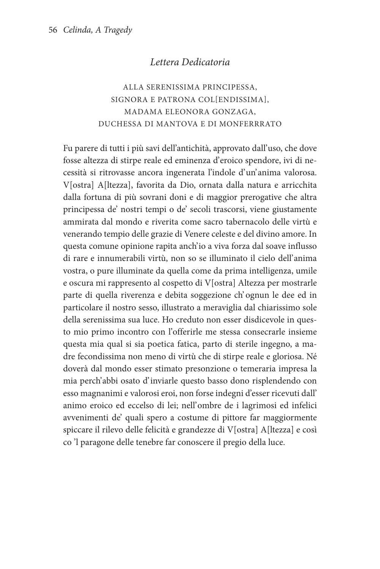#### *Lettera Dedicatoria*

## ALLA SERENISSIMA PRINCIPESSA, SIGNORA E PATRONA COL[ENDISSIMA], MADAMA ELEONORA GONZAGA, DUCHESSA DI MANTOVA E DI MONFERRRATO

Fu parere di tutti i più savi dell'antichità, approvato dall'uso, che dove fosse altezza di stirpe reale ed eminenza d' eroico spendore, ivi di necessità si ritrovasse ancora ingenerata l'indole d' un' anima valorosa. V[ostra] A[ltezza], favorita da Dio, ornata dalla natura e arricchita dalla fortuna di più sovrani doni e di maggior prerogative che altra principessa de' nostri tempi o de' secoli trascorsi, viene giustamente ammirata dal mondo e riverita come sacro tabernacolo delle virtù e venerando tempio delle grazie di Venere celeste e del divino amore. In questa comune opinione rapita anch' io a viva forza dal soave influsso di rare e innumerabili virtù, non so se illuminato il cielo dell' anima vostra, o pure illuminate da quella come da prima intelligenza, umile e oscura mi rappresento al cospetto di V[ostra] Altezza per mostrarle parte di quella riverenza e debita soggezione ch' ognun le dee ed in particolare il nostro sesso, illustrato a meraviglia dal chiarissimo sole della serenissima sua luce. Ho creduto non esser disdicevole in questo mio primo incontro con l'offerirle me stessa consecrarle insieme questa mia qual si sia poetica fatica, parto di sterile ingegno, a madre fecondissima non meno di virtù che di stirpe reale e gloriosa. Né doverà dal mondo esser stimato presonzione o temeraria impresa la mia perch' abbi osato d' inviarle questo basso dono risplendendo con esso magnanimi e valorosi eroi, non forse indegni d'esser ricevuti dall' animo eroico ed eccelso di lei; nell' ombre de i lagrimosi ed infelici avvenimenti de' quali spero a costume di pittore far maggiormente spiccare il rilevo delle felicità e grandezze di V[ostra] A[ltezza] e così co 'l paragone delle tenebre far conoscere il pregio della luce.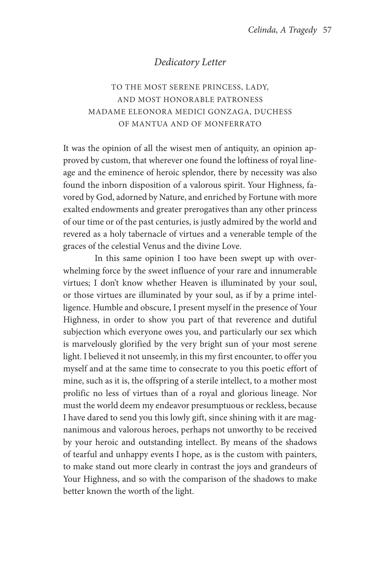#### *Dedicatory Letter*

#### TO THE MOST SERENE PRINCESS, LADY, AND MOST HONORABLE PATRONESS MADAME ELEONORA MEDICI GONZAGA, DUCHESS OF MANTUA AND OF MONFERRATO

It was the opinion of all the wisest men of antiquity, an opinion approved by custom, that wherever one found the loftiness of royal lineage and the eminence of heroic splendor, there by necessity was also found the inborn disposition of a valorous spirit. Your Highness, favored by God, adorned by Nature, and enriched by Fortune with more exalted endowments and greater prerogatives than any other princess of our time or of the past centuries, is justly admired by the world and revered as a holy tabernacle of virtues and a venerable temple of the graces of the celestial Venus and the divine Love.

In this same opinion I too have been swept up with overwhelming force by the sweet influence of your rare and innumerable virtues; I don't know whether Heaven is illuminated by your soul, or those virtues are illuminated by your soul, as if by a prime intelligence. Humble and obscure, I present myself in the presence of Your Highness, in order to show you part of that reverence and dutiful subjection which everyone owes you, and particularly our sex which is marvelously glorified by the very bright sun of your most serene light. I believed it not unseemly, in this my first encounter, to offer you myself and at the same time to consecrate to you this poetic effort of mine, such as it is, the offspring of a sterile intellect, to a mother most prolific no less of virtues than of a royal and glorious lineage. Nor must the world deem my endeavor presumptuous or reckless, because I have dared to send you this lowly gift, since shining with it are magnanimous and valorous heroes, perhaps not unworthy to be received by your heroic and outstanding intellect. By means of the shadows of tearful and unhappy events I hope, as is the custom with painters, to make stand out more clearly in contrast the joys and grandeurs of Your Highness, and so with the comparison of the shadows to make better known the worth of the light.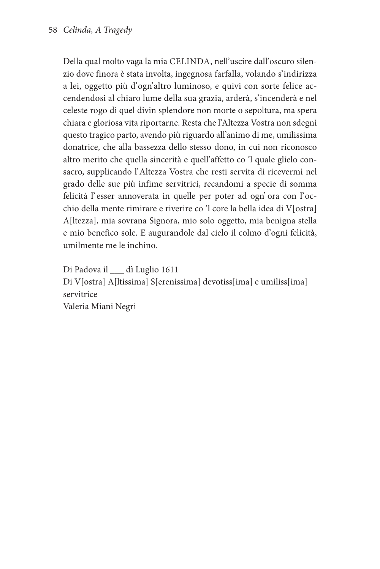Della qual molto vaga la mia CELINDA, nell' uscire dall' oscuro silenzio dove finora è stata involta, ingegnosa farfalla, volando s' indirizza a lei, oggetto più d' ogn' altro luminoso, e quivi con sorte felice accendendosi al chiaro lume della sua grazia, arderà, s' incenderà e nel celeste rogo di quel divin splendore non morte o sepoltura, ma spera chiara e gloriosa vita riportarne. Resta che l' Altezza Vostra non sdegni questo tragico parto, avendo più riguardo all'animo di me, umilissima donatrice, che alla bassezza dello stesso dono, in cui non riconosco altro merito che quella sincerità e quell' affetto co 'l quale glielo consacro, supplicando l' Altezza Vostra che resti servita di ricevermi nel grado delle sue più infime servitrici, recandomi a specie di somma felicità l'esser annoverata in quelle per poter ad ogn'ora con l'occhio della mente rimirare e riverire co 'l core la bella idea di V[ostra] A[ltezza], mia sovrana Signora, mio solo oggetto, mia benigna stella e mio benefico sole. E augurandole dal cielo il colmo d'ogni felicità, umilmente me le inchino.

Di Padova il \_\_\_ dì Luglio 1611 Di V[ostra] A[ltissima] S[erenissima] devotiss[ima] e umiliss[ima] servitrice Valeria Miani Negri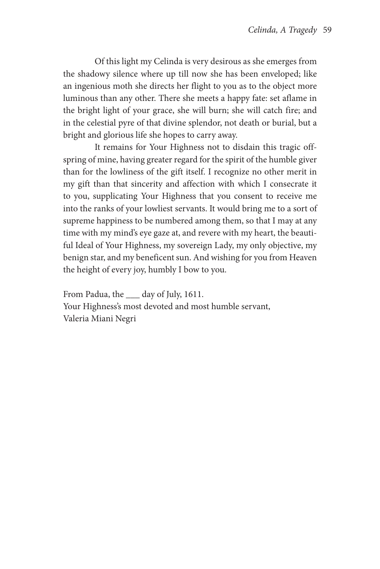Of this light my Celinda is very desirous as she emerges from the shadowy silence where up till now she has been enveloped; like an ingenious moth she directs her flight to you as to the object more luminous than any other. There she meets a happy fate: set aflame in the bright light of your grace, she will burn; she will catch fire; and in the celestial pyre of that divine splendor, not death or burial, but a bright and glorious life she hopes to carry away.

It remains for Your Highness not to disdain this tragic offspring of mine, having greater regard for the spirit of the humble giver than for the lowliness of the gift itself. I recognize no other merit in my gift than that sincerity and affection with which I consecrate it to you, supplicating Your Highness that you consent to receive me into the ranks of your lowliest servants. It would bring me to a sort of supreme happiness to be numbered among them, so that I may at any time with my mind's eye gaze at, and revere with my heart, the beautiful Ideal of Your Highness, my sovereign Lady, my only objective, my benign star, and my beneficent sun. And wishing for you from Heaven the height of every joy, humbly I bow to you.

From Padua, the \_\_\_ day of July, 1611. Your Highness's most devoted and most humble servant, Valeria Miani Negri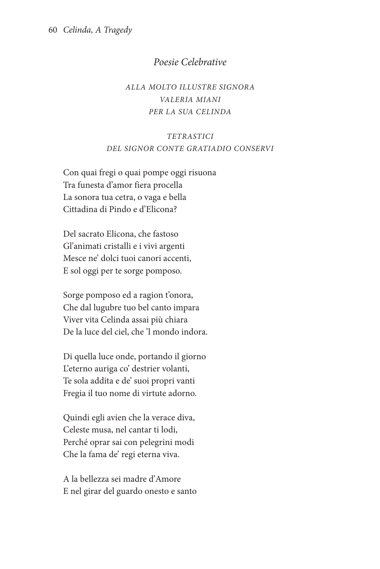#### *Poesie Celebrative*

#### *ALLA MOLTO ILLUSTRE SIGNORA VALERIA MIANI PER LA SUA CELINDA*

#### *TETRASTICI DEL SIGNOR CONTE GRATIADIO CONSERVI*

Con quai fregi o quai pompe oggi risuona Tra funesta d'amor fiera procella La sonora tua cetra, o vaga e bella Cittadina di Pindo e d'Elicona?

Del sacrato Elicona, che fastoso Gl' animati cristalli e i vivi argenti Mesce ne' dolci tuoi canori accenti, E sol oggi per te sorge pomposo.

Sorge pomposo ed a ragion t'onora, Che dal lugubre tuo bel canto impara Viver vita Celinda assai più chiara De la luce del ciel, che 'l mondo indora.

Di quella luce onde, portando il giorno L'eterno auriga co' destrier volanti, Te sola addita e de' suoi propri vanti Fregia il tuo nome di virtute adorno.

Quindi egli avien che la verace diva, Celeste musa, nel cantar ti lodi, Perché oprar sai con pelegrini modi Che la fama de' regi eterna viva.

A la bellezza sei madre d' Amore E nel girar del guardo onesto e santo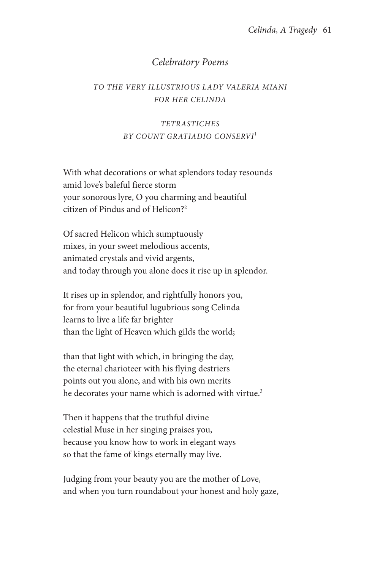#### *Celebratory Poems*

#### *TO THE VERY ILLUSTRIOUS LADY VALERIA MIANI FOR HER CELINDA*

#### *TETRASTICHES BY COUNT GRATIADIO CONSERVI*<sup>1</sup>

With what decorations or what splendors today resounds amid love's baleful fierce storm your sonorous lyre, O you charming and beautiful citizen of Pindus and of Helicon?2

Of sacred Helicon which sumptuously mixes, in your sweet melodious accents, animated crystals and vivid argents, and today through you alone does it rise up in splendor.

It rises up in splendor, and rightfully honors you, for from your beautiful lugubrious song Celinda learns to live a life far brighter than the light of Heaven which gilds the world;

than that light with which, in bringing the day, the eternal charioteer with his flying destriers points out you alone, and with his own merits he decorates your name which is adorned with virtue.<sup>3</sup>

Then it happens that the truthful divine celestial Muse in her singing praises you, because you know how to work in elegant ways so that the fame of kings eternally may live.

Judging from your beauty you are the mother of Love, and when you turn roundabout your honest and holy gaze,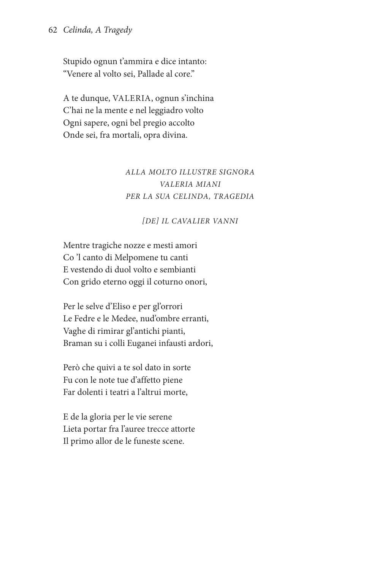#### 62 *Celinda, A Tragedy*

Stupido ognun t'ammira e dice intanto: "Venere al volto sei, Pallade al core."

A te dunque, VALERIA, ognun s'inchina C'hai ne la mente e nel leggiadro volto Ogni sapere, ogni bel pregio accolto Onde sei, fra mortali, opra divina.

#### *ALLA MOLTO ILLUSTRE SIGNORA VALERIA MIANI PER LA SUA CELINDA, TRAGEDIA*

#### *[DE] IL CAVALIER VANNI*

Mentre tragiche nozze e mesti amori Co 'l canto di Melpomene tu canti E vestendo di duol volto e sembianti Con grido eterno oggi il coturno onori,

Per le selve d'Eliso e per gl'orrori Le Fedre e le Medee, nud'ombre erranti, Vaghe di rimirar gl'antichi pianti, Braman su i colli Euganei infausti ardori,

Però che quivi a te sol dato in sorte Fu con le note tue d'affetto piene Far dolenti i teatri a l'altrui morte,

E de la gloria per le vie serene Lieta portar fra l'auree trecce attorte Il primo allor de le funeste scene.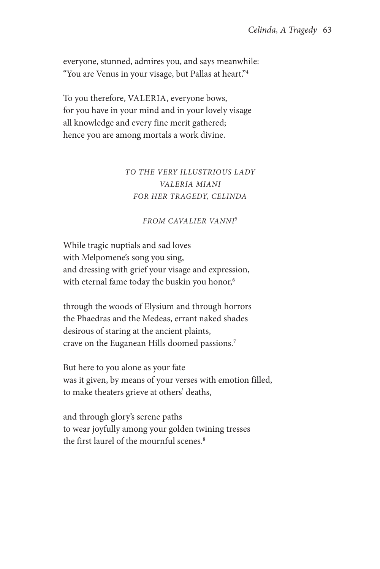everyone, stunned, admires you, and says meanwhile: "You are Venus in your visage, but Pallas at heart."4

To you therefore, VALERIA, everyone bows, for you have in your mind and in your lovely visage all knowledge and every fine merit gathered; hence you are among mortals a work divine.

## *TO THE VERY ILLUSTRIOUS LADY VALERIA MIANI FOR HER TRAGEDY, CELINDA*

#### *FROM CAVALIER VANNI*<sup>5</sup>

While tragic nuptials and sad loves with Melpomene's song you sing, and dressing with grief your visage and expression, with eternal fame today the buskin you honor,<sup>6</sup>

through the woods of Elysium and through horrors the Phaedras and the Medeas, errant naked shades desirous of staring at the ancient plaints, crave on the Euganean Hills doomed passions.7

But here to you alone as your fate was it given, by means of your verses with emotion filled, to make theaters grieve at others' deaths,

and through glory's serene paths to wear joyfully among your golden twining tresses the first laurel of the mournful scenes.<sup>8</sup>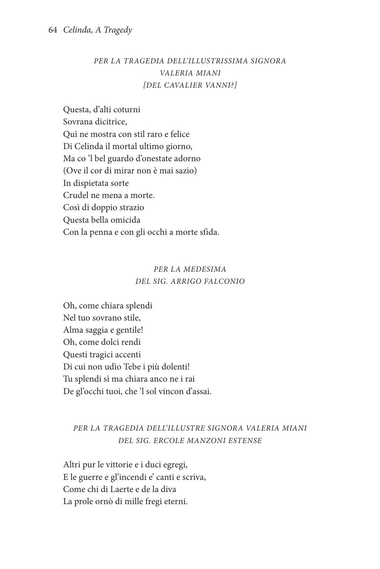## *PER LA TRAGEDIA DELL'ILLUSTRISSIMA SIGNORA VALERIA MIANI [DEL CAVALIER VANNI?]*

Questa, d'alti coturni Sovrana dicitrice, Quì ne mostra con stil raro e felice Di Celinda il mortal ultimo giorno, Ma co 'l bel guardo d'onestate adorno (Ove il cor di mirar non è mai sazio) In dispietata sorte Crudel ne mena a morte. Così di doppio strazio Questa bella omicida Con la penna e con gli occhi a morte sfida.

#### *PER LA MEDESIMA DEL SIG. ARRIGO FALCONIO*

Oh, come chiara splendi Nel tuo sovrano stile, Alma saggia e gentile! Oh, come dolci rendi Questi tragici accenti Di cui non udìo Tebe i più dolenti! Tu splendi sì ma chiara anco ne i rai De gl'occhi tuoi, che 'l sol vincon d'assai.

#### *PER LA TRAGEDIA DELL'ILLUSTRE SIGNORA VALERIA MIANI DEL SIG. ERCOLE MANZONI ESTENSE*

Altri pur le vittorie e i duci egregi, E le guerre e gl'incendi e' canti e scriva, Come chi di Laerte e de la diva La prole ornò di mille fregi eterni.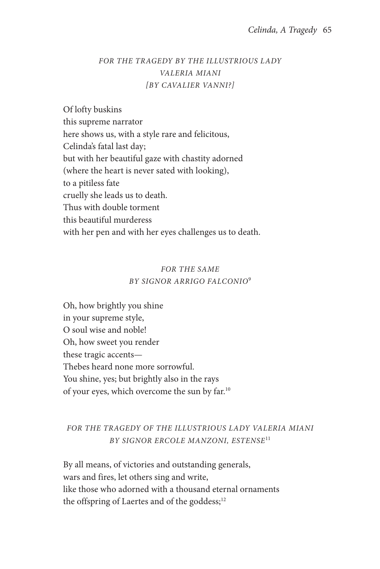#### *FOR THE TRAGEDY BY THE ILLUSTRIOUS LADY VALERIA MIANI [BY CAVALIER VANNI?]*

Of lofty buskins this supreme narrator here shows us, with a style rare and felicitous, Celinda's fatal last day; but with her beautiful gaze with chastity adorned (where the heart is never sated with looking), to a pitiless fate cruelly she leads us to death. Thus with double torment this beautiful murderess with her pen and with her eyes challenges us to death.

#### *FOR THE SAME BY SIGNOR ARRIGO FALCONIO*<sup>9</sup>

Oh, how brightly you shine in your supreme style, O soul wise and noble! Oh, how sweet you render these tragic accents— Thebes heard none more sorrowful. You shine, yes; but brightly also in the rays of your eyes, which overcome the sun by far.10

#### *FOR THE TRAGEDY OF THE ILLUSTRIOUS LADY VALERIA MIANI BY SIGNOR ERCOLE MANZONI, ESTENSE*<sup>11</sup>

By all means, of victories and outstanding generals, wars and fires, let others sing and write, like those who adorned with a thousand eternal ornaments the offspring of Laertes and of the goddess;<sup>12</sup>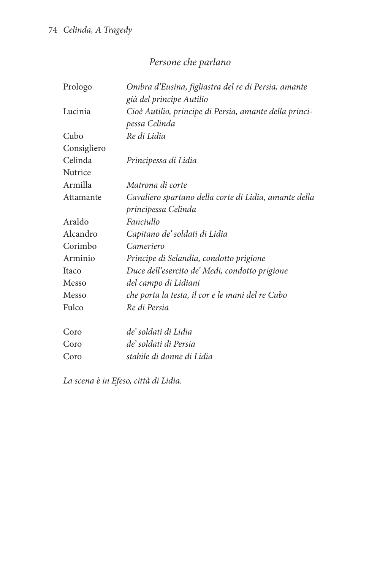## *Persone che parlano*

| Prologo     | Ombra d'Eusina, figliastra del re di Persia, amante<br>già del principe Autilio |
|-------------|---------------------------------------------------------------------------------|
| Lucinia     | Cioè Autilio, principe di Persia, amante della princi-<br>pessa Celinda         |
| Cubo        | Re di Lidia                                                                     |
| Consigliero |                                                                                 |
| Celinda     | Principessa di Lidia                                                            |
| Nutrice     |                                                                                 |
| Armilla     | Matrona di corte                                                                |
| Attamante   | Cavaliero spartano della corte di Lidia, amante della                           |
|             | principessa Celinda                                                             |
| Araldo      | Fanciullo                                                                       |
| Alcandro    | Capitano de' soldati di Lidia                                                   |
| Corimbo     | Cameriero                                                                       |
| Arminio     | Principe di Selandia, condotto prigione                                         |
| Itaco       | Duce dell'esercito de' Medi, condotto prigione                                  |
| Messo       | del campo di Lidiani                                                            |
| Messo       | che porta la testa, il cor e le mani del re Cubo                                |
| Fulco       | Re di Persia                                                                    |
|             |                                                                                 |
| Coro        | de' soldati di Lidia                                                            |
| Coro        | de' soldati di Persia                                                           |
| Coro        | stabile di donne di Lidia                                                       |

*La scena è in Efeso, città di Lidia.*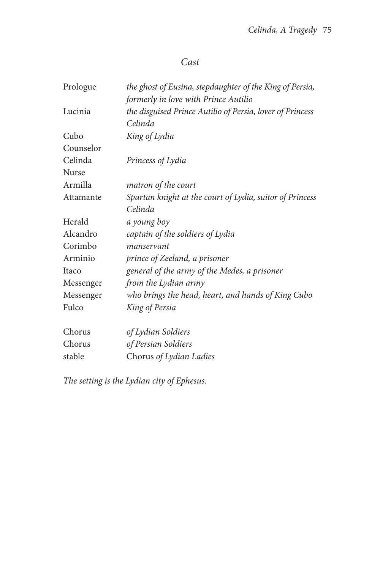## *Cast*

| Prologue  | the ghost of Eusina, stepdaughter of the King of Persia,  |
|-----------|-----------------------------------------------------------|
|           | formerly in love with Prince Autilio                      |
| Lucinia   | the disguised Prince Autilio of Persia, lover of Princess |
|           | Celinda                                                   |
| Cubo      | King of Lydia                                             |
| Counselor |                                                           |
| Celinda   | Princess of Lydia                                         |
| Nurse     |                                                           |
| Armilla   | matron of the court                                       |
| Attamante | Spartan knight at the court of Lydia, suitor of Princess  |
|           | Celinda                                                   |
| Herald    | a young boy                                               |
| Alcandro  | captain of the soldiers of Lydia                          |
| Corimbo   | manservant                                                |
| Arminio   | prince of Zeeland, a prisoner                             |
| Itaco     | general of the army of the Medes, a prisoner              |
| Messenger | from the Lydian army                                      |
| Messenger | who brings the head, heart, and hands of King Cubo        |
| Fulco     | King of Persia                                            |
| Chorus    | of Lydian Soldiers                                        |
| Chorus    | of Persian Soldiers                                       |
| stable    | Chorus of Lydian Ladies                                   |

*The setting is the Lydian city of Ephesus.*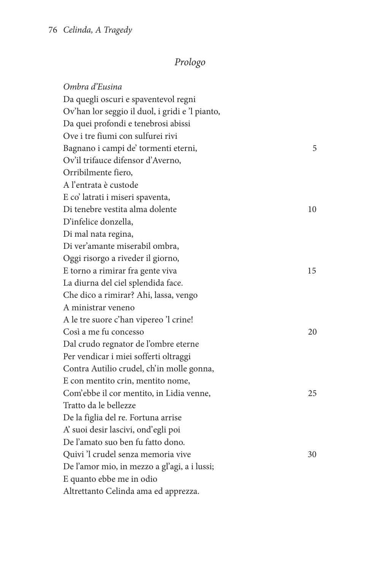# *Prologo*

| Ombra d'Eusina                                  |    |
|-------------------------------------------------|----|
| Da quegli oscuri e spaventevol regni            |    |
| Ov'han lor seggio il duol, i gridi e 'l pianto, |    |
| Da quei profondi e tenebrosi abissi             |    |
| Ove i tre fiumi con sulfurei rivi               |    |
| Bagnano i campi de' tormenti eterni,            | 5  |
| Ov'il trifauce difensor d'Averno,               |    |
| Orribilmente fiero,                             |    |
| A l'entrata è custode                           |    |
| E co' latrati i miseri spaventa,                |    |
| Di tenebre vestita alma dolente                 | 10 |
| D'infelice donzella,                            |    |
| Di mal nata regina,                             |    |
| Di ver'amante miserabil ombra,                  |    |
| Oggi risorgo a riveder il giorno,               |    |
| E torno a rimirar fra gente viva                | 15 |
| La diurna del ciel splendida face.              |    |
| Che dico a rimirar? Ahi, lassa, vengo           |    |
| A ministrar veneno                              |    |
| A le tre suore c'han vipereo 'l crine!          |    |
| Così a me fu concesso                           | 20 |
| Dal crudo regnator de l'ombre eterne            |    |
| Per vendicar i miei sofferti oltraggi           |    |
| Contra Autilio crudel, ch'in molle gonna,       |    |
| E con mentito crin, mentito nome,               |    |
| Com'ebbe il cor mentito, in Lidia venne,        | 25 |
| Tratto da le bellezze                           |    |
| De la figlia del re. Fortuna arrise             |    |
| A' suoi desir lascivi, ond'egli poi             |    |
| De l'amato suo ben fu fatto dono.               |    |
| Quivi 'l crudel senza memoria vive              | 30 |
| De l'amor mio, in mezzo a gl'agi, a i lussi;    |    |
| E quanto ebbe me in odio                        |    |
| Altrettanto Celinda ama ed apprezza.            |    |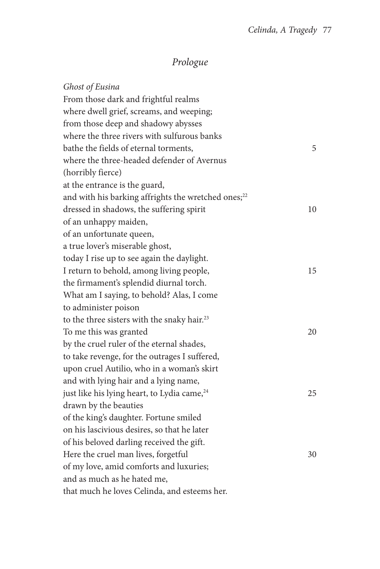# *Prologue*

| Ghost of Eusina                                                 |    |
|-----------------------------------------------------------------|----|
| From those dark and frightful realms                            |    |
| where dwell grief, screams, and weeping;                        |    |
| from those deep and shadowy abysses                             |    |
| where the three rivers with sulfurous banks                     |    |
| bathe the fields of eternal torments,                           | 5  |
| where the three-headed defender of Avernus                      |    |
| (horribly fierce)                                               |    |
| at the entrance is the guard,                                   |    |
| and with his barking affrights the wretched ones; <sup>22</sup> |    |
| dressed in shadows, the suffering spirit                        | 10 |
| of an unhappy maiden,                                           |    |
| of an unfortunate queen,                                        |    |
| a true lover's miserable ghost,                                 |    |
| today I rise up to see again the daylight.                      |    |
| I return to behold, among living people,                        | 15 |
| the firmament's splendid diurnal torch.                         |    |
| What am I saying, to behold? Alas, I come                       |    |
| to administer poison                                            |    |
| to the three sisters with the snaky hair. <sup>23</sup>         |    |
| To me this was granted                                          | 20 |
| by the cruel ruler of the eternal shades,                       |    |
| to take revenge, for the outrages I suffered,                   |    |
| upon cruel Autilio, who in a woman's skirt                      |    |
| and with lying hair and a lying name,                           |    |
| just like his lying heart, to Lydia came, <sup>24</sup>         | 25 |
| drawn by the beauties                                           |    |
| of the king's daughter. Fortune smiled                          |    |
| on his lascivious desires, so that he later                     |    |
| of his beloved darling received the gift.                       |    |
| Here the cruel man lives, forgetful                             | 30 |
| of my love, amid comforts and luxuries;                         |    |
| and as much as he hated me,                                     |    |
| that much he loves Celinda, and esteems her.                    |    |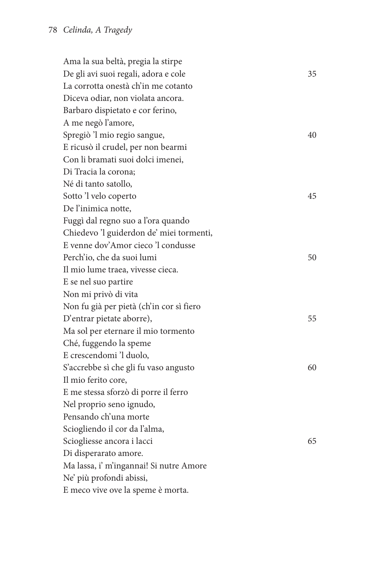## 78 *Celinda, A Tragedy*

| Ama la sua beltà, pregia la stirpe       |    |
|------------------------------------------|----|
| De gli avi suoi regali, adora e cole     | 35 |
| La corrotta onestà ch'in me cotanto      |    |
| Diceva odiar, non violata ancora.        |    |
| Barbaro dispietato e cor ferino,         |    |
| A me negò l'amore,                       |    |
| Spregiò 'l mio regio sangue,             | 40 |
| E ricusò il crudel, per non bearmi       |    |
| Con li bramati suoi dolci imenei,        |    |
| Di Tracia la corona;                     |    |
| Né di tanto satollo,                     |    |
| Sotto 'l velo coperto                    | 45 |
| De l'inimica notte,                      |    |
| Fuggì dal regno suo a l'ora quando       |    |
| Chiedevo 'l guiderdon de' miei tormenti, |    |
| E venne dov'Amor cieco 'l condusse       |    |
| Perch'io, che da suoi lumi               | 50 |
| Il mio lume traea, vivesse cieca.        |    |
| E se nel suo partire                     |    |
| Non mi privò di vita                     |    |
| Non fu già per pietà (ch'in cor sì fiero |    |
| D'entrar pietate aborre),                | 55 |
| Ma sol per eternare il mio tormento      |    |
| Ché, fuggendo la speme                   |    |
| E crescendomi 'l duolo,                  |    |
| S'accrebbe sì che gli fu vaso angusto    | 60 |
| Il mio ferito core,                      |    |
| E me stessa sforzò di porre il ferro     |    |
| Nel proprio seno ignudo,                 |    |
| Pensando ch'una morte                    |    |
| Sciogliendo il cor da l'alma,            |    |
| Sciogliesse ancora i lacci               | 65 |
| Di disperarato amore.                    |    |
| Ma lassa, i' m'ingannai! Si nutre Amore  |    |
| Ne' più profondi abissi,                 |    |
| E meco vive ove la speme è morta.        |    |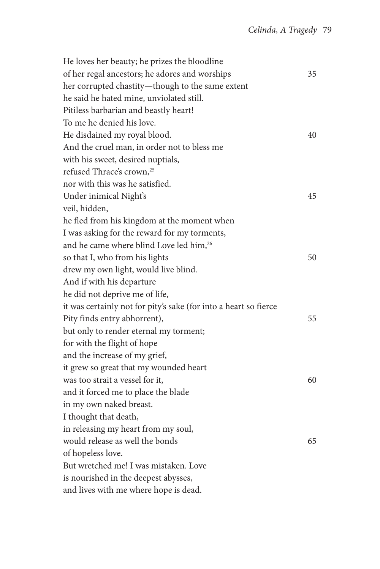He loves her beauty; he prizes the bloodline of her regal ancestors; he adores and worships 35 her corrupted chastity—though to the same extent he said he hated mine, unviolated still. Pitiless barbarian and beastly heart! To me he denied his love. He disdained my royal blood. 40 And the cruel man, in order not to bless me with his sweet, desired nuptials, refused Thrace's crown,<sup>25</sup> nor with this was he satisfied. Under inimical Night's 45 veil, hidden, he fled from his kingdom at the moment when I was asking for the reward for my torments, and he came where blind Love led him,<sup>26</sup> so that I, who from his lights 50 drew my own light, would live blind. And if with his departure he did not deprive me of life, it was certainly not for pity's sake (for into a heart so fierce Pity finds entry abhorrent), 55 but only to render eternal my torment; for with the flight of hope and the increase of my grief, it grew so great that my wounded heart was too strait a vessel for it, 60 and it forced me to place the blade in my own naked breast. I thought that death, in releasing my heart from my soul, would release as well the bonds 65 of hopeless love. But wretched me! I was mistaken. Love is nourished in the deepest abysses, and lives with me where hope is dead.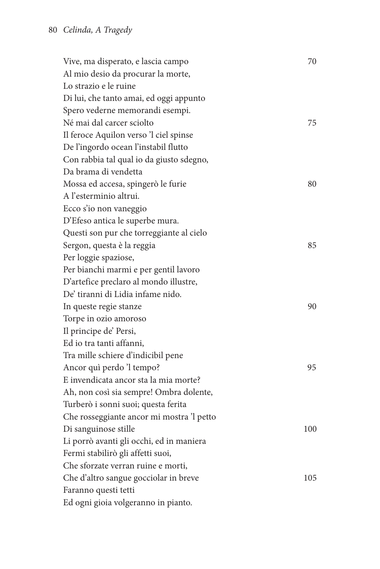| Vive, ma disperato, e lascia campo        | 70  |
|-------------------------------------------|-----|
| Al mio desio da procurar la morte,        |     |
| Lo strazio e le ruine                     |     |
| Di lui, che tanto amai, ed oggi appunto   |     |
| Spero vederne memorandi esempi.           |     |
| Né mai dal carcer sciolto                 | 75  |
| Il feroce Aquilon verso 'l ciel spinse    |     |
| De l'ingordo ocean l'instabil flutto      |     |
| Con rabbia tal qual io da giusto sdegno,  |     |
| Da brama di vendetta                      |     |
| Mossa ed accesa, spingerò le furie        | 80  |
| A l'esterminio altrui.                    |     |
| Ecco s'io non vaneggio                    |     |
| D'Efeso antica le superbe mura.           |     |
| Questi son pur che torreggiante al cielo  |     |
| Sergon, questa è la reggia                | 85  |
| Per loggie spaziose,                      |     |
| Per bianchi marmi e per gentil lavoro     |     |
| D'artefice preclaro al mondo illustre,    |     |
| De' tiranni di Lidia infame nido.         |     |
| In queste regie stanze                    | 90  |
| Torpe in ozio amoroso                     |     |
| Il principe de' Persi,                    |     |
| Ed io tra tanti affanni,                  |     |
| Tra mille schiere d'indicibil pene        |     |
| Ancor quì perdo 'l tempo?                 | 95  |
| E invendicata ancor sta la mia morte?     |     |
| Ah, non così sia sempre! Ombra dolente,   |     |
| Turberò i sonni suoi; questa ferita       |     |
| Che rosseggiante ancor mi mostra 'l petto |     |
| Di sanguinose stille                      | 100 |
| Li porrò avanti gli occhi, ed in maniera  |     |
| Fermi stabilirò gli affetti suoi,         |     |
| Che sforzate verran ruine e morti,        |     |
| Che d'altro sangue gocciolar in breve     | 105 |
| Faranno questi tetti                      |     |
| Ed ogni gioia volgeranno in pianto.       |     |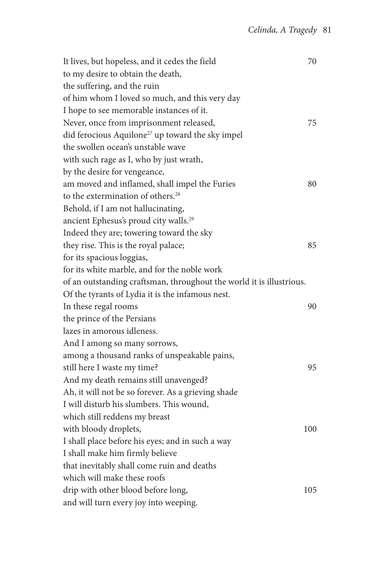| It lives, but hopeless, and it cedes the field                       | 70  |
|----------------------------------------------------------------------|-----|
| to my desire to obtain the death,                                    |     |
| the suffering, and the ruin                                          |     |
| of him whom I loved so much, and this very day                       |     |
| I hope to see memorable instances of it.                             |     |
| Never, once from imprisonment released,                              | 75  |
| did ferocious Aquilone <sup>27</sup> up toward the sky impel         |     |
| the swollen ocean's unstable wave                                    |     |
| with such rage as I, who by just wrath,                              |     |
| by the desire for vengeance,                                         |     |
| am moved and inflamed, shall impel the Furies                        | 80  |
| to the extermination of others. <sup>28</sup>                        |     |
| Behold, if I am not hallucinating,                                   |     |
| ancient Ephesus's proud city walls. <sup>29</sup>                    |     |
| Indeed they are; towering toward the sky                             |     |
| they rise. This is the royal palace;                                 | 85  |
| for its spacious loggias,                                            |     |
| for its white marble, and for the noble work                         |     |
| of an outstanding craftsman, throughout the world it is illustrious. |     |
| Of the tyrants of Lydia it is the infamous nest.                     |     |
| In these regal rooms                                                 | 90  |
| the prince of the Persians                                           |     |
| lazes in amorous idleness.                                           |     |
| And I among so many sorrows,                                         |     |
| among a thousand ranks of unspeakable pains,                         |     |
| still here I waste my time?                                          | 95  |
| And my death remains still unavenged?                                |     |
| Ah, it will not be so forever. As a grieving shade                   |     |
| I will disturb his slumbers. This wound,                             |     |
| which still reddens my breast                                        |     |
| with bloody droplets,                                                | 100 |
| I shall place before his eyes; and in such a way                     |     |
| I shall make him firmly believe                                      |     |
| that inevitably shall come ruin and deaths                           |     |
| which will make these roofs                                          |     |
| drip with other blood before long,                                   | 105 |
| and will turn every joy into weeping.                                |     |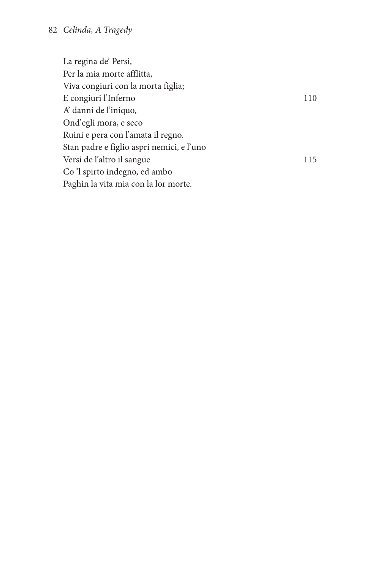## 82 *Celinda, A Tragedy*

| La regina de' Persi,                      |     |
|-------------------------------------------|-----|
| Per la mia morte afflitta,                |     |
| Viva congiuri con la morta figlia;        |     |
| E congiuri l'Inferno                      | 110 |
| A' danni de l'iniquo,                     |     |
| Ond'egli mora, e seco                     |     |
| Ruini e pera con l'amata il regno.        |     |
| Stan padre e figlio aspri nemici, e l'uno |     |
| Versi de l'altro il sangue                | 115 |
| Co 'l spirto indegno, ed ambo             |     |
| Paghin la vita mia con la lor morte.      |     |